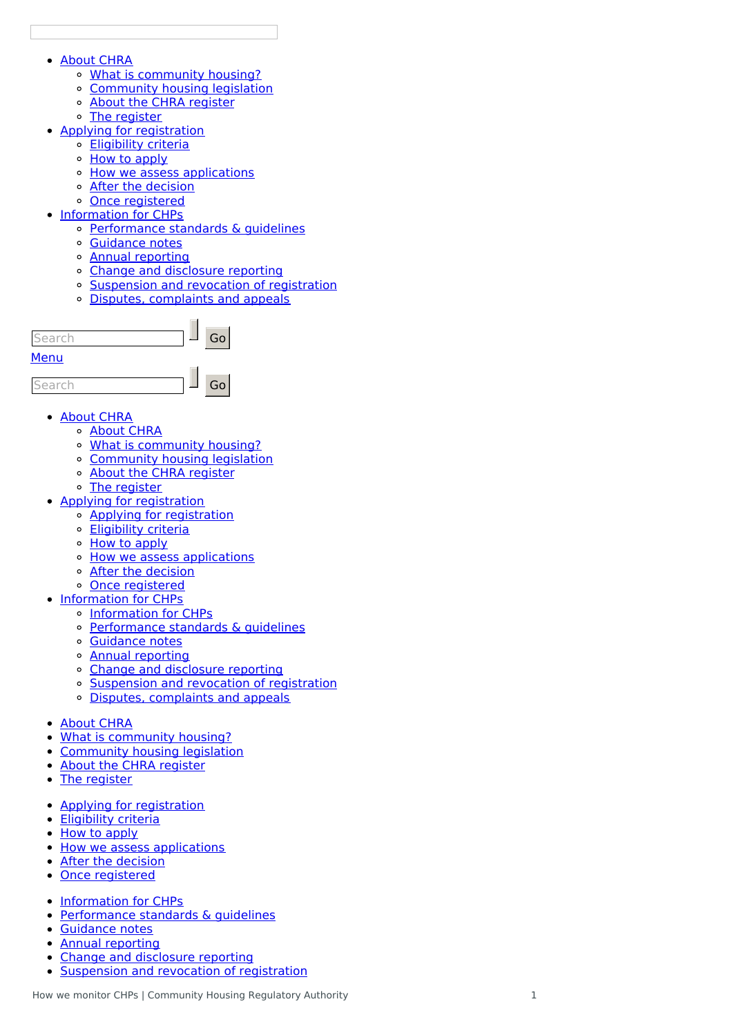### <u>About C[H](http://mbie7.cwp.govt.nz/about-chra/)RA</u>

- <u>What is community hou[sin](http://mbie7.cwp.govt.nz/about-chra/what-is-community-housing/)g?</u>
- Community housing le[gisla](http://mbie7.cwp.govt.nz/about-chra/community-housing-legislation/)tion
- About the CHRA re[gis](http://mbie7.cwp.govt.nz/about-chra/about-the-chra-register/)ter
- <u>The re[gis](http://mbie7.cwp.govt.nz/about-chra/the-register/)ter</u>
- Ap[plyin](http://mbie7.cwp.govt.nz/applying-for-registration/)g for registration
	- [Eligibilit](http://mbie7.cwp.govt.nz/applying-for-registration/eligibility-criteria/)y criteria
	- How to ap[ply](http://mbie7.cwp.govt.nz/applying-for-registration/how-to-apply/)
	- How we assess ap[plic](http://mbie7.cwp.govt.nz/applying-for-registration/how-we-assess-applications/)ations
	- <u>After the de[cisio](http://mbie7.cwp.govt.nz/applying-for-registration/next-steps/)n</u>
	- <u>Once re[gis](http://mbie7.cwp.govt.nz/applying-for-registration/once-registered/)tered</u>
- [Information](http://mbie7.cwp.govt.nz/information-about-chps/) for CHPs
	- [Performance](http://mbie7.cwp.govt.nz/information-about-chps/performance-standards-and-guidelines/) standards & guidelines
	- G[uid](http://mbie7.cwp.govt.nz/information-about-chps/guidance-notes-2/)ance notes
	- Annual repor[tin](http://mbie7.cwp.govt.nz/information-about-chps/annual-reporting/)g
	- Change and dis[clo](http://mbie7.cwp.govt.nz/information-about-chps/change-and-disclosure-reporting/)sure reporting
	- Suspension and revocation of re[gis](http://mbie7.cwp.govt.nz/information-about-chps/suspension-and-revocation-of-registration/)tration
	- Disputes, com[plain](http://mbie7.cwp.govt.nz/information-about-chps/disputes-complaints-and-appeals/)ts and appeals



- <u>About C[H](http://mbie7.cwp.govt.nz/about-chra/)RA</u>
	- <u>About C[H](http://mbie7.cwp.govt.nz/about-chra/)RA</u>
	- <u>What is community hou[sin](http://mbie7.cwp.govt.nz/about-chra/what-is-community-housing/)g?</u>
	- Community housing le[gisla](http://mbie7.cwp.govt.nz/about-chra/community-housing-legislation/)tion
	- About the CHRA re[gis](http://mbie7.cwp.govt.nz/about-chra/about-the-chra-register/)ter
	- <u>The re[gis](http://mbie7.cwp.govt.nz/about-chra/the-register/)ter</u>
- Ap[plyin](http://mbie7.cwp.govt.nz/applying-for-registration/)g for registration
	- Ap[plyin](http://mbie7.cwp.govt.nz/applying-for-registration/)g for registration
	- [Eligibilit](http://mbie7.cwp.govt.nz/applying-for-registration/eligibility-criteria/)y criteria
	- How to ap[ply](http://mbie7.cwp.govt.nz/applying-for-registration/how-to-apply/)
	- How we assess ap[plic](http://mbie7.cwp.govt.nz/applying-for-registration/how-we-assess-applications/)ations
	- <u>After the de[cisio](http://mbie7.cwp.govt.nz/applying-for-registration/next-steps/)n</u>
	- <u>Once re[gis](http://mbie7.cwp.govt.nz/applying-for-registration/once-registered/)tered</u>
- [Information](http://mbie7.cwp.govt.nz/information-about-chps/) for CHPs
	- **[Information](http://mbie7.cwp.govt.nz/information-about-chps/) for CHPs**
	- Performance standards & guid[elin](http://mbie7.cwp.govt.nz/information-about-chps/performance-standards-and-guidelines/)es
	- G[uid](http://mbie7.cwp.govt.nz/information-about-chps/guidance-notes-2/)ance notes
	- Annual repor[tin](http://mbie7.cwp.govt.nz/information-about-chps/annual-reporting/)g
	- Change and dis[clo](http://mbie7.cwp.govt.nz/information-about-chps/change-and-disclosure-reporting/)sure reporting
	- Suspension and revocation of re[gis](http://mbie7.cwp.govt.nz/information-about-chps/suspension-and-revocation-of-registration/)tration
	- Disputes, com[plain](http://mbie7.cwp.govt.nz/information-about-chps/disputes-complaints-and-appeals/)ts and appeals
- <u>About C[H](http://mbie7.cwp.govt.nz/about-chra/)RA</u>  $\bullet$
- $\bullet$ <u>What is community hou[sin](http://mbie7.cwp.govt.nz/about-chra/what-is-community-housing/)g?</u>
- $\bullet$ Community housing le[gisla](http://mbie7.cwp.govt.nz/about-chra/community-housing-legislation/)tion
- $\bullet$ About the CHRA re[gis](http://mbie7.cwp.govt.nz/about-chra/about-the-chra-register/)ter
- The re[gis](http://mbie7.cwp.govt.nz/about-chra/the-register/)ter
- Ap[plyin](http://mbie7.cwp.govt.nz/applying-for-registration/)g for registration
- $\bullet$ [Eligibilit](http://mbie7.cwp.govt.nz/applying-for-registration/eligibility-criteria/)y criteria
- $\bullet$ How to ap[ply](http://mbie7.cwp.govt.nz/applying-for-registration/how-to-apply/)
- $\bullet$ How we assess ap[plic](http://mbie7.cwp.govt.nz/applying-for-registration/how-we-assess-applications/)ations
- $\bullet$ <u>After the de[cisio](http://mbie7.cwp.govt.nz/applying-for-registration/next-steps/)n</u>
- Once re[gis](http://mbie7.cwp.govt.nz/applying-for-registration/once-registered/)tered  $\bullet$
- **[Information](http://mbie7.cwp.govt.nz/information-about-chps/) for CHPs**  $\bullet$
- Performance standards & guid[elin](http://mbie7.cwp.govt.nz/information-about-chps/performance-standards-and-guidelines/)es  $\bullet$
- G[uid](http://mbie7.cwp.govt.nz/information-about-chps/guidance-notes-2/)ance notes  $\bullet$
- Annual repor[tin](http://mbie7.cwp.govt.nz/information-about-chps/annual-reporting/)g
- Change and dis[clo](http://mbie7.cwp.govt.nz/information-about-chps/change-and-disclosure-reporting/)sure reporting
- Suspension and revocation of re[gis](http://mbie7.cwp.govt.nz/information-about-chps/suspension-and-revocation-of-registration/)tration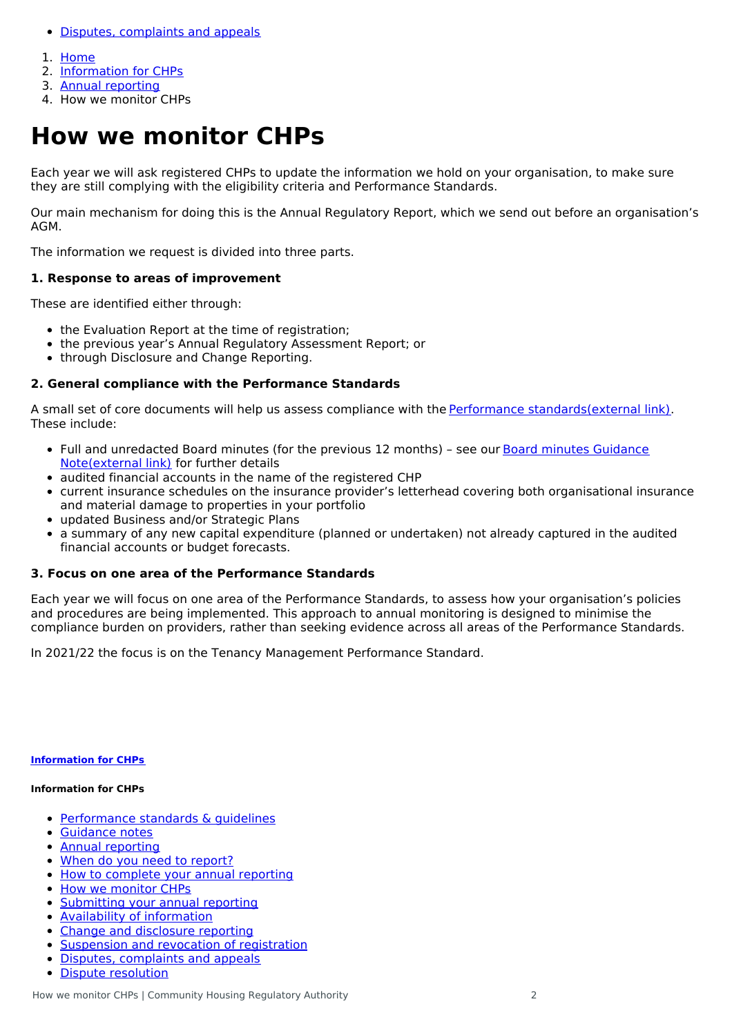- Disputes, [complaints](http://mbie7.cwp.govt.nz/information-about-chps/disputes-complaints-and-appeals/) and appeals
- 1. [Home](http://mbie7.cwp.govt.nz/)
- 2. [Information](http://mbie7.cwp.govt.nz/information-about-chps/) for CHPs
- 3. Annual [reporting](http://mbie7.cwp.govt.nz/information-about-chps/annual-reporting/)
- 4. How we monitor CHPs

# **How we monitor CHPs**

Each year we will ask registered CHPs to update the information we hold on your organisation, to make sure they are still complying with the eligibility criteria and Performance Standards.

Our main mechanism for doing this is the Annual Regulatory Report, which we send out before an organisation's AGM.

The information we request is divided into three parts.

## **1. Response to areas of improvement**

These are identified either through:

- the Evaluation Report at the time of registration;
- the previous year's Annual Regulatory Assessment Report; or
- through Disclosure and Change Reporting.

## **2. General compliance with the Performance Standards**

A small set of core documents will help us assess compliance with the Performance [standards\(external](http://www.legislation.govt.nz/regulation/public/2014/0116/latest/DLM6013942.html) link). These include:

- Full and unredacted Board minutes (for the previous 12 months) see our Board minutes Guidance [Note\(external](https://chra.hud.govt.nz/assets/Uploads/Guidance-notes/1f346b3e4a/Guidance-Note-Board-Minutes.pdf) link) for further details
- audited financial accounts in the name of the registered CHP
- current insurance schedules on the insurance provider's letterhead covering both organisational insurance and material damage to properties in your portfolio
- updated Business and/or Strategic Plans
- a summary of any new capital expenditure (planned or undertaken) not already captured in the audited financial accounts or budget forecasts.

## **3. Focus on one area of the Performance Standards**

Each year we will focus on one area of the Performance Standards, to assess how your organisation's policies and procedures are being implemented. This approach to annual monitoring is designed to minimise the compliance burden on providers, rather than seeking evidence across all areas of the Performance Standards.

In 2021/22 the focus is on the Tenancy Management Performance Standard.

#### **[Information](http://mbie7.cwp.govt.nz/information-about-chps/) for CHPs**

#### **Information for CHPs**

- [Performance](http://mbie7.cwp.govt.nz/information-about-chps/performance-standards-and-guidelines/) standards & quidelines
- [Guidance](http://mbie7.cwp.govt.nz/information-about-chps/guidance-notes-2/) notes
- Annual [reporting](http://mbie7.cwp.govt.nz/information-about-chps/annual-reporting/)  $\bullet$
- When do you need to [report?](http://mbie7.cwp.govt.nz/information-about-chps/annual-reporting/when-do-you-need-to-report/)
- How to [complete](http://mbie7.cwp.govt.nz/information-about-chps/annual-reporting/how-to-complete-your-annual-reporting/) your annual reporting  $\bullet$
- How we [monitor](http://mbie7.cwp.govt.nz/information-about-chps/annual-reporting/how-we-monitor-chps/) CHPs  $\bullet$
- [Submitting](http://mbie7.cwp.govt.nz/information-about-chps/annual-reporting/submitting-your-annual-reporting/) your annual reporting  $\bullet$
- Availability of [information](http://mbie7.cwp.govt.nz/information-about-chps/annual-reporting/availability-of-information/)  $\bullet$
- Change and [disclosure](http://mbie7.cwp.govt.nz/information-about-chps/change-and-disclosure-reporting/) reporting  $\bullet$
- $\bullet$ [Suspension](http://mbie7.cwp.govt.nz/information-about-chps/suspension-and-revocation-of-registration/) and revocation of registration
- $\bullet$ Disputes, [complaints](http://mbie7.cwp.govt.nz/information-about-chps/disputes-complaints-and-appeals/) and appeals
- Dispute [resolution](http://mbie7.cwp.govt.nz/information-about-chps/disputes-complaints-and-appeals/dispute-resolution/)